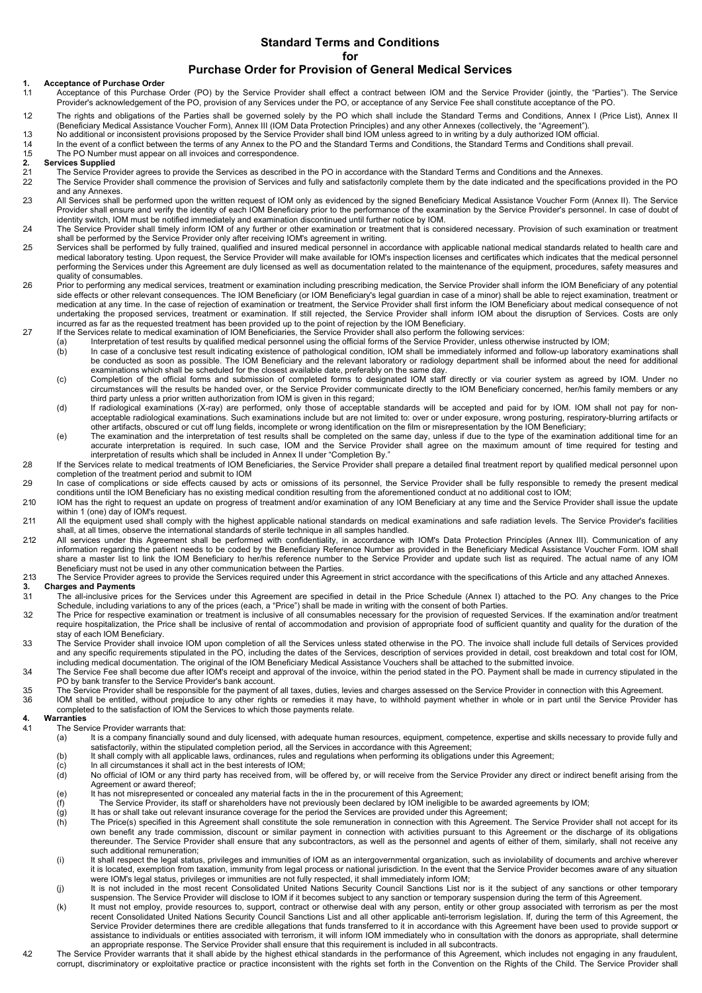### **Standard Terms and Conditions for Purchase Order for Provision of General Medical Services**

# **1. Acceptance of Purchase Order**

- Acceptance of this Purchase Order (PO) by the Service Provider shall effect a contract between IOM and the Service Provider (jointly, the "Parties"). The Service Provider's acknowledgement of the PO, provision of any Services under the PO, or acceptance of any Service Fee shall constitute acceptance of the PO.
- 1.2 The rights and obligations of the Parties shall be governed solely by the PO which shall include the Standard Terms and Conditions, Annex I (Price List), Annex II (Beneficiary Medical Assistance Voucher Form), Annex III (IOM Data Protection Principles) and any other Annexes (collectively, the "Agreement").
- 
- 1.3 No additional or inconsistent provisions proposed by the Service Provider shall bind IOM unless agreed to in writing by a duly authorized IOM official.<br>1.4 In the event of a conflict between the terms of any Annex to t In the event of a conflict between the terms of any Annex to the PO and the Standard Terms and Conditions, the Standard Terms and Conditions shall prevail.
- 1.5 The PO Number must appear on all invoices and correspondence.<br>2. Services Supplied
- **2. Services Supplied**
- 21 The Service Provider agrees to provide the Services as described in the PO in accordance with the Standard Terms and Conditions and the Annexes.<br>22 The Service Provider shall commence the provision of Services and fully
- 2.2 The Service Provider shall commence the provision of Services and fully and satisfactorily complete them by the date indicated and the specifications provided in the PO and any Annexes.
- 2.3 All Services shall be performed upon the written request of IOM only as evidenced by the signed Beneficiary Medical Assistance Voucher Form (Annex II). The Service Provider shall ensure and verify the identity of each IOM Beneficiary prior to the performance of the examination by the Service Provider's personnel. In case of doubt of identity switch, IOM must be notified immediately and examination discontinued until further notice by IOM.
- 2.4 The Service Provider shall timely inform IOM of any further or other examination or treatment that is considered necessary. Provision of such examination or treatment shall be performed by the Service Provider only after receiving IOM's agreement in writing.
- 2.5 Services shall be performed by fully trained, qualified and insured medical personnel in accordance with applicable national medical standards related to health care and medical laboratory testing. Upon request, the Service Provider will make available for IOM's inspection licenses and certificates which indicates that the medical personnel performing the Services under this Agreement are duly licensed as well as documentation related to the maintenance of the equipment, procedures, safety measures and quality of consumables.
- 26 Prior to performing any medical services, treatment or examination including prescribing medication, the Service Provider shall inform the IOM Beneficiary of any potential side effects or other relevant consequences. The IOM Beneficiary (or IOM Beneficiary's legal guardian in case of a minor) shall be able to reject examination, treatment or medication at any time. In the case of rejection of examination or treatment, the Service Provider shall first inform the IOM Beneficiary about medical consequence of not undertaking the proposed services, treatment or examination. If still rejected, the Service Provider shall inform IOM about the disruption of Services. Costs are only
- incurred as far as the requested treatment has been provided up to the point of rejection by the IOM Beneficiary.<br>.27 If the Services relate to medical examination of IOM Beneficiaries, the Service Provider shall also perf
	- (a) Interpretation of test results by qualified medical personnel using the official forms of the Service Provider, unless otherwise instructed by IOM; (b) In case of a conclusive test result indicating existence of pathological condition, IOM shall be immediately informed and follow-up laboratory examinations shall
	- be conducted as soon as possible. The IOM Beneficiary and the relevant laboratory or radiology department shall be informed about the need for additional examinations which shall be scheduled for the closest available date, preferably on the same day.
	- c) Completion of the official forms and submission of completed forms to designated IOM staff directly or via courier system as agreed by IOM. Under no)<br>circumstances will the results be handed over, or the Service Provide third party unless a prior written authorization from IOM is given in this regard;
	- (d) If radiological examinations (X-ray) are performed, only those of acceptable standards will be accepted and paid for by IOM. IOM shall not pay for nonacceptable radiological examinations. Such examinations include but are not limited to: over or under exposure, wrong posturing, respiratory-blurring artifacts or other artifacts, obscured or cut off lung fields, incomplete or wrong identification on the film or misrepresentation by the IOM Beneficiary;
	- (e) The examination and the interpretation of test results shall be completed on the same day, unless if due to the type of the examination additional time for an accurate interpretation is required. In such case, IOM and the Service Provider shall agree on the maximum amount of time required for testing and interpretation of results which shall be included in Annex II under "Completion By."
- 28 If the Services relate to medical treatments of IOM Beneficiaries, the Service Provider shall prepare a detailed final treatment report by qualified medical personnel upon completion of the treatment period and submit to IOM
- 29 In case of complications or side effects caused by acts or omissions of its personnel, the Service Provider shall be fully responsible to remedy the present medical conditions until the IOM Beneficiary has no existing medical condition resulting from the aforementioned conduct at no additional cost to IOM;
- 2.10 IOM has the right to request an update on progress of treatment and/or examination of any IOM Beneficiary at any time and the Service Provider shall issue the update within 1 (one) day of IOM's request.
- 2.11 All the equipment used shall comply with the highest applicable national standards on medical examinations and safe radiation levels. The Service Provider's facilities shall, at all times, observe the international standards of sterile technique in all samples handled.
- 2.12 All services under this Agreement shall be performed with confidentiality, in accordance with IOM's Data Protection Principles (Annex III). Communication of any information regarding the patient needs to be coded by the Beneficiary Reference Number as provided in the Beneficiary Medical Assistance Voucher Form. IOM shall share a master list to link the IOM Beneficiary to her/his reference number to the Service Provider and update such list as required. The actual name of any IOM Beneficiary must not be used in any other communication between the Parties.
- The Service Provider agrees to provide the Services required under this Agreement in strict accordance with the specifications of this Article and any attached Annexes.<br>3. Charges and Payments **3. Charges and Payments**
- 3.1 The all-inclusive prices for the Services under this Agreement are specified in detail in the Price Schedule (Annex I) attached to the PO*.* Any changes to the Price Schedule, including variations to any of the prices (each, a "Price") shall be made in writing with the consent of both Parties.
- 32 The Price for respective examination or treatment is inclusive of all consumables necessary for the provision of requested Services. If the examination and/or treatment require hospitalization, the Price shall be inclusive of rental of accommodation and provision of appropriate food of sufficient quantity and quality for the duration of the stay of each IOM Beneficiary.
- 3.3 The Service Provider shall invoice IOM upon completion of all the Services unless stated otherwise in the PO. The invoice shall include full details of Services provided and any specific requirements stipulated in the PO, including the dates of the Services, description of services provided in detail, cost breakdown and total cost for IOM, including medical documentation*.* The original of the IOM Beneficiary Medical Assistance Vouchers shall be attached to the submitted invoice.
- 3.4 The Service Fee shall become due after IOM's receipt and approval of the invoice, within the period stated in the PO. Payment shall be made in currency stipulated in the PO by bank transfer to the Service Provider's bank account.
- 3.5 The Service Provider shall be responsible for the payment of all taxes, duties, levies and charges assessed on the Service Provider in connection with this Agreement.<br>36 IOM shall be entitled without prejudice to any o
	- IOM shall be entitled, without prejudice to any other rights or remedies it may have, to withhold payment whether in whole or in part until the Service Provider has completed to the satisfaction of IOM the Services to which those payments relate.

# **4. Warranties**

- The Service Provider warrants that:<br>(a) It is a company financially
	- It is a company financially sound and duly licensed, with adequate human resources, equipment, competence, expertise and skills necessary to provide fully and satisfactorily, within the stipulated completion period, all the Services in accordance with this Agreement;
	- (b) It shall comply with all applicable laws, ordinances, rules and regulations when performing its obligations under this Agreement;<br>(c) In all circumstances it shall act in the best interests of IOM;
	-
	- (d) No official of IOM or any third party has received from, will be offered by, or will receive from the Service Provider any direct or indirect benefit arising from the Agreement or award thereof;
	- (e) It has not misrepresented or concealed any material facts in the in the procurement of this Agreement;<br>(f) The Service Provider, its staff or shareholders have not previously been declared by IOM ineligible to
	- (f) The Service Provider, its staff or shareholders have not previously been declared by IOM ineligible to be awarded agreements by IOM;<br>(g) It has or shall take out relevant insurance coverage for the period the Services
	- It has or shall take out relevant insurance coverage for the period the Services are provided under this Agreement;
	- (h) The Price(s) specified in this Agreement shall constitute the sole remuneration in connection with this Agreement. The Service Provider shall not accept for its own benefit any trade commission, discount or similar payment in connection with activities pursuant to this Agreement or the discharge of its obligations thereunder. The Service Provider shall ensure that any subcontractors, as well as the personnel and agents of either of them, similarly, shall not receive any such additional remuneration;
	- (i) It shall respect the legal status, privileges and immunities of IOM as an intergovernmental organization, such as inviolability of documents and archive wherever it is located, exemption from taxation, immunity from legal process or national jurisdiction. In the event that the Service Provider becomes aware of any situation were IOM's legal status, privileges or immunities are not fully respected, it shall immediately inform IOM;
	- (j) It is not included in the most recent Consolidated United Nations Security Council Sanctions List nor is it the subject of any sanctions or other temporary
	- suspension. The Service Provider will disclose to IOM if it becomes subject to any sanction or temporary suspension during the term of this Agreement.<br>(k) It must not employ, provide resources to, support, contract or othe recent Consolidated United Nations Security Council Sanctions List and all other applicable anti-terrorism legislation. If, during the term of this Agreement, the Service Provider determines there are credible allegations that funds transferred to it in accordance with this Agreement have been used to provide support or assistance to individuals or entities associated with terrorism, it will inform IOM immediately who in consultation with the donors as appropriate, shall determine an appropriate response. The Service Provider shall ensure that this requirement is included in all subcontracts.
- 4.2 The Service Provider warrants that it shall abide by the highest ethical standards in the performance of this Agreement, which includes not engaging in any fraudulent, corrupt, discriminatory or exploitative practice or practice inconsistent with the rights set forth in the Convention on the Rights of the Child. The Service Provider shall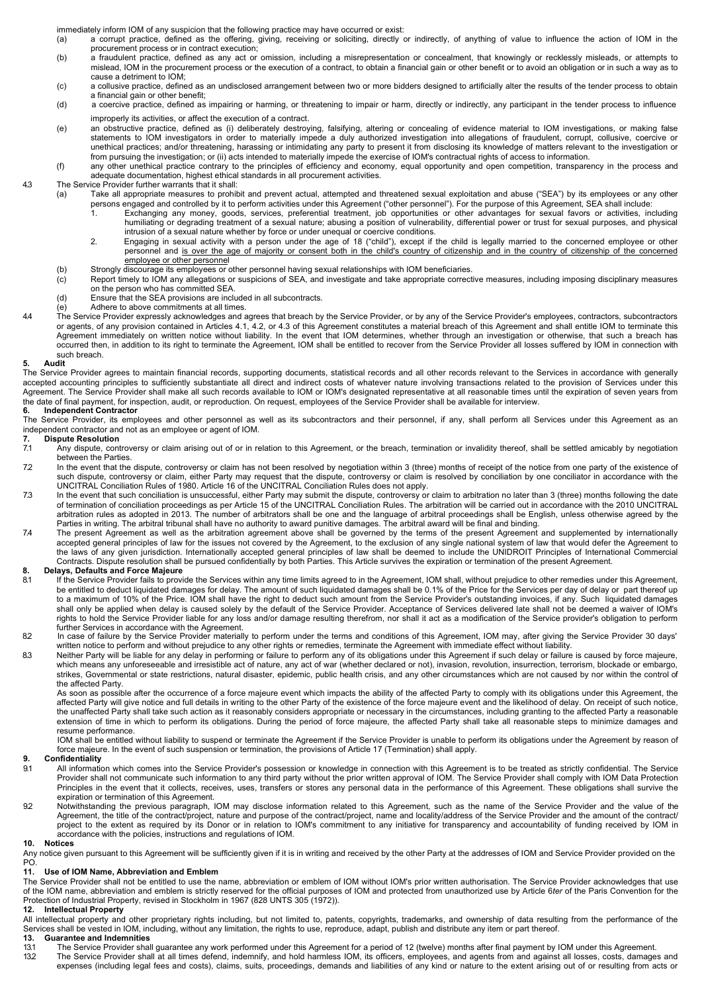- immediately inform IOM of any suspicion that the following practice may have occurred or exist:<br>(a) a corrupt practice, defined as the offering, giving, receiving or soliciting, directly or a corrupt practice, defined as the offering, giving, receiving or soliciting, directly or indirectly, of anything of value to influence the action of IOM in the procurement process or in contract execution;
- (b) a fraudulent practice, defined as any act or omission, including a misrepresentation or concealment, that knowingly or recklessly misleads, or attempts to mislead, IOM in the procurement process or the execution of a contract, to obtain a financial gain or other benefit or to avoid an obligation or in such a way as to cause a detriment to IOM;
- (c) a collusive practice, defined as an undisclosed arrangement between two or more bidders designed to artificially alter the results of the tender process to obtain a financial gain or other benefit;
- (d) a coercive practice, defined as impairing or harming, or threatening to impair or harm, directly or indirectly, any participant in the tender process to influence improperly its activities, or affect the execution of a contract.
- (e) an obstructive practice, defined as (i) deliberately destroying, falsifying, altering or concealing of evidence material to IOM investigations, or making false statements to IOM investigators in order to materially impede a duly authorized investigation into allegations of fraudulent, corrupt, collusive, coercive or unethical practices; and/or threatening, harassing or intimidating any party to present it from disclosing its knowledge of matters relevant to the investigation or
- from pursuing the investigation; or (ii) acts intended to materially impede the exercise of IOM's contractual rights of access to information.<br>(f) any other unethical practice contrary to the principles of efficiency and e adequate documentation, highest ethical standards in all procurement activities.

4.3 The Service Provider further warrants that it shall:<br>(a) Take all appropriate measures to prohit

- Take all appropriate measures to prohibit and prevent actual, attempted and threatened sexual exploitation and abuse ("SEA") by its employees or any other
	- persons engaged and controlled by it to perform activities under this Agreement ("other personnel"). For the purpose of this Agreement, SEA shall include: 1. Exchanging any money, goods, services, preferential treatment, job opportunities or other advantages for sexual favors or activities, including humiliating or degrading treatment of a sexual nature; abusing a position of vulnerability, differential power or trust for sexual purposes, and physical intrusion of a sexual nature whether by force or under unequal or coercive conditions.
	- 2. Engaging in sexual activity with a person under the age of 18 ("child"), except if the child is legally married to the concerned employee or other personnel and is over the age of majority or consent both in the child's country of citizenship and in the country of citizenship of the concerned employee or other personnel
- (b) Strongly discourage its employees or other personnel having sexual relationships with IOM beneficiaries.<br>(c) Report timely to IOM any allegations or suspicions of SEA, and investigate and take appropriate correct
- Report timely to IOM any allegations or suspicions of SEA, and investigate and take appropriate corrective measures, including imposing disciplinary measures on the person who has committed SEA.
	- (d) Ensure that the SEA provisions are included in all subcontracts.<br>(e) Adhere to above commitments at all times.
	- Adhere to above commitments at all times.
- 4.4 The Service Provider expressly acknowledges and agrees that breach by the Service Provider, or by any of the Service Provider's employees, contractors, subcontractors or agents, of any provision contained in Articles 4.1, 4.2, or 4.3 of this Agreement constitutes a material breach of this Agreement and shall entitle IOM to terminate this Agreement immediately on written notice without liability. In the event that IOM determines, whether through an investigation or otherwise, that such a breach has occurred then, in addition to its right to terminate the Agreement, IOM shall be entitled to recover from the Service Provider all losses suffered by IOM in connection with such breach.

#### **5. Audit**

The Service Provider agrees to maintain financial records, supporting documents, statistical records and all other records relevant to the Services in accordance with generally accepted accounting principles to sufficiently substantiate all direct and indirect costs of whatever nature involving transactions related to the provision of Services under this Agreement. The Service Provider shall make all such records available to IOM or IOM's designated representative at all reasonable times until the expiration of seven years from the date of final payment, for inspection, audit, or reproduction. On request, employees of the Service Provider shall be available for interview.

### **6. Independent Contractor**

The Service Provider, its employees and other personnel as well as its subcontractors and their personnel, if any, shall perform all Services under this Agreement as an independent contractor and not as an employee or agent of IOM.<br>7 Dispute Resolution

# **7. Dispute Resolution**

- 7.1 Any dispute, controversy or claim arising out of or in relation to this Agreement, or the breach, termination or invalidity thereof, shall be settled amicably by negotiation between the Parties.
- In the event that the dispute, controversy or claim has not been resolved by negotiation within 3 (three) months of receipt of the notice from one party of the existence of<br>such dispute, controversy or claim, either Party UNCITRAL Conciliation Rules of 1980. Article 16 of the UNCITRAL Conciliation Rules does not apply.
- 7.3 In the event that such conciliation is unsuccessful, either Party may submit the dispute, controversy or claim to arbitration no later than 3 (three) months following the date of termination of conciliation proceedings as per Article 15 of the UNCITRAL Conciliation Rules. The arbitration will be carried out in accordance with the 2010 UNCITRAL arbitration rules as adopted in 2013. The number of arbitrators shall be one and the language of arbitral proceedings shall be English, unless otherwise agreed by the
- Parties in writing. The arbitral tribunal shall have no authority to award punitive damages. The arbitral award will be final and binding.<br>The present Agreement as well as the arbitration agreement above shall be governed accepted general principles of law for the issues not covered by the Agreement, to the exclusion of any single national system of law that would defer the Agreement to the laws of any given jurisdiction. Internationally accepted general principles of law shall be deemed to include the UNIDROIT Principles of International Commercial<br>Contracts. Dispute resolution shall be pursued confident

- **8. Delays, Defaults and Force Majeure**<br>8.1 If the Service Provider fails to provide the Services within any time limits agreed to in the Agreement, IOM shall, without prejudice to other remedies under this Agreement, be entitled to deduct liquidated damages for delay. The amount of such liquidated damages shall be 0.1% of the Price for the Services per day of delay or part thereof up to a maximum of 10% of the Price. IOM shall have the right to deduct such amount from the Service Provider's outstanding invoices, if any. Such liquidated damages shall only be applied when delay is caused solely by the default of the Service Provider. Acceptance of Services delivered late shall not be deemed a waiver of IOM's rights to hold the Service Provider liable for any loss and/or damage resulting therefrom, nor shall it act as a modification of the Service provider's obligation to perform
- further Services in accordance with the Agreement. 8.2 In case of failure by the Service Provider materially to perform under the terms and conditions of this Agreement, IOM may, after giving the Service Provider 30 days' written notice to perform and without prejudice to any other rights or remedies, terminate the Agreement with immediate effect without liability.
- 8.3 Neither Party will be liable for any delay in performing or failure to perform any of its obligations under this Agreement if such delay or failure is caused by force majeure, which means any unforeseeable and irresistible act of nature, any act of war (whether declared or not), invasion, revolution, insurrection, terrorism, blockade or embargo, strikes, Governmental or state restrictions, natural disaster, epidemic, public health crisis, and any other circumstances which are not caused by nor within the control of the affected Party.

As soon as possible after the occurrence of a force majeure event which impacts the ability of the affected Party to comply with its obligations under this Agreement, the affected Party will give notice and full details in writing to the other Party of the existence of the force majeure event and the likelihood of delay. On receipt of such notice, the unaffected Party shall take such action as it reasonably considers appropriate or necessary in the circumstances, including granting to the affected Party a reasonable extension of time in which to perform its obligations. During the period of force majeure, the affected Party shall take all reasonable steps to minimize damages and resume performance.

IOM shall be entitled without liability to suspend or terminate the Agreement if the Service Provider is unable to perform its obligations under the Agreement by reason of force majeure. In the event of such suspension or termination, the provisions of Article 17 (Termination) shall apply.

# **9. Confidentiality**

- All information which comes into the Service Provider's possession or knowledge in connection with this Agreement is to be treated as strictly confidential. The Service Provider shall not communicate such information to any third party without the prior written approval of IOM. The Service Provider shall comply with IOM Data Protection Principles in the event that it collects, receives, uses, transfers or stores any personal data in the performance of this Agreement. These obligations shall survive the expiration or termination of this Agreement.
- 9.2 Notwithstanding the previous paragraph, IOM may disclose information related to this Agreement, such as the name of the Service Provider and the value of the Agreement, the title of the contract/project, nature and purpose of the contract/project, name and locality/address of the Service Provider and the amount of the contract/<br>project to the extent as required by its Donor or accordance with the policies, instructions and regulations of IOM.

### **10. Notices**

Any notice given pursuant to this Agreement will be sufficiently given if it is in writing and received by the other Party at the addresses of IOM and Service Provider provided on the PO.<br>11.

### **11. Use of IOM Name, Abbreviation and Emblem**

The Service Provider shall not be entitled to use the name, abbreviation or emblem of IOM without IOM's prior written authorisation. The Service Provider acknowledges that use of the IOM name, abbreviation and emblem is strictly reserved for the official purposes of IOM and protected from unauthorized use by Article 6*ter* of the Paris Convention for the Protection of Industrial Property, revised in Stockholm in 1967 (828 UNTS 305 (1972)).<br>12. Intellectual Property

## **12. Intellectual Property**

All intellectual property and other proprietary rights including, but not limited to, patents, copyrights, trademarks, and ownership of data resulting from the performance of the Services shall be vested in IOM, including, without any limitation, the rights to use, reproduce, adapt, publish and distribute any item or part thereof.

# **13. Guarantee and Indemnities**

13.1 The Service Provider shall guarantee any work performed under this Agreement for a period of 12 (twelve) months after final payment by IOM under this Agreement.<br>13.2 The Service Provider shall at all times defend, ind 13.2 The Service Provider shall at all times defend, indemnify, and hold harmless IOM, its officers, employees, and agents from and against all losses, costs, damages and expenses (including legal fees and costs), claims, suits, proceedings, demands and liabilities of any kind or nature to the extent arising out of or resulting from acts or